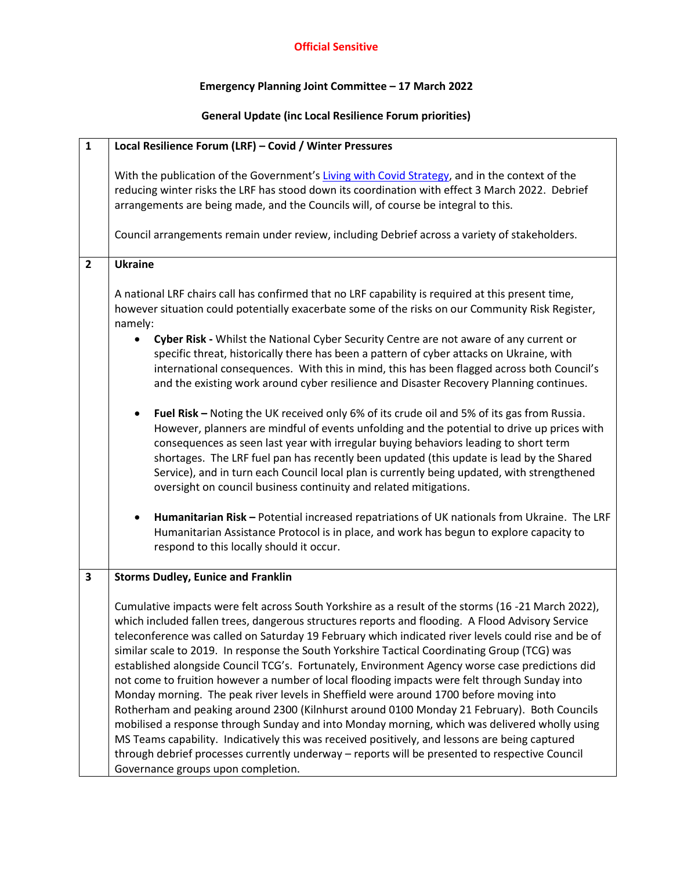## **Official Sensitive**

## **Emergency Planning Joint Committee – 17 March 2022**

## **General Update (inc Local Resilience Forum priorities)**

| $\mathbf{1}$   | Local Resilience Forum (LRF) - Covid / Winter Pressures                                                                                                                                                                                                                                                                                                                                                                                                                                                                                                                                                                                                                                                                                                                                                                                                                                                                                                                                                                                                                                                                                                                                                                                                                                                                                                                                                              |
|----------------|----------------------------------------------------------------------------------------------------------------------------------------------------------------------------------------------------------------------------------------------------------------------------------------------------------------------------------------------------------------------------------------------------------------------------------------------------------------------------------------------------------------------------------------------------------------------------------------------------------------------------------------------------------------------------------------------------------------------------------------------------------------------------------------------------------------------------------------------------------------------------------------------------------------------------------------------------------------------------------------------------------------------------------------------------------------------------------------------------------------------------------------------------------------------------------------------------------------------------------------------------------------------------------------------------------------------------------------------------------------------------------------------------------------------|
|                | With the publication of the Government's Living with Covid Strategy, and in the context of the<br>reducing winter risks the LRF has stood down its coordination with effect 3 March 2022. Debrief<br>arrangements are being made, and the Councils will, of course be integral to this.<br>Council arrangements remain under review, including Debrief across a variety of stakeholders.                                                                                                                                                                                                                                                                                                                                                                                                                                                                                                                                                                                                                                                                                                                                                                                                                                                                                                                                                                                                                             |
| $\overline{2}$ | <b>Ukraine</b>                                                                                                                                                                                                                                                                                                                                                                                                                                                                                                                                                                                                                                                                                                                                                                                                                                                                                                                                                                                                                                                                                                                                                                                                                                                                                                                                                                                                       |
|                | A national LRF chairs call has confirmed that no LRF capability is required at this present time,<br>however situation could potentially exacerbate some of the risks on our Community Risk Register,<br>namely:<br>Cyber Risk - Whilst the National Cyber Security Centre are not aware of any current or<br>specific threat, historically there has been a pattern of cyber attacks on Ukraine, with<br>international consequences. With this in mind, this has been flagged across both Council's<br>and the existing work around cyber resilience and Disaster Recovery Planning continues.<br>Fuel Risk - Noting the UK received only 6% of its crude oil and 5% of its gas from Russia.<br>$\bullet$<br>However, planners are mindful of events unfolding and the potential to drive up prices with<br>consequences as seen last year with irregular buying behaviors leading to short term<br>shortages. The LRF fuel pan has recently been updated (this update is lead by the Shared<br>Service), and in turn each Council local plan is currently being updated, with strengthened<br>oversight on council business continuity and related mitigations.<br>Humanitarian Risk - Potential increased repatriations of UK nationals from Ukraine. The LRF<br>$\bullet$<br>Humanitarian Assistance Protocol is in place, and work has begun to explore capacity to<br>respond to this locally should it occur. |
| $\mathbf{3}$   | <b>Storms Dudley, Eunice and Franklin</b>                                                                                                                                                                                                                                                                                                                                                                                                                                                                                                                                                                                                                                                                                                                                                                                                                                                                                                                                                                                                                                                                                                                                                                                                                                                                                                                                                                            |
|                | Cumulative impacts were felt across South Yorkshire as a result of the storms (16 -21 March 2022),<br>which included fallen trees, dangerous structures reports and flooding. A Flood Advisory Service<br>teleconference was called on Saturday 19 February which indicated river levels could rise and be of<br>similar scale to 2019. In response the South Yorkshire Tactical Coordinating Group (TCG) was<br>established alongside Council TCG's. Fortunately, Environment Agency worse case predictions did<br>not come to fruition however a number of local flooding impacts were felt through Sunday into<br>Monday morning. The peak river levels in Sheffield were around 1700 before moving into<br>Rotherham and peaking around 2300 (Kilnhurst around 0100 Monday 21 February). Both Councils<br>mobilised a response through Sunday and into Monday morning, which was delivered wholly using<br>MS Teams capability. Indicatively this was received positively, and lessons are being captured<br>through debrief processes currently underway - reports will be presented to respective Council<br>Governance groups upon completion.                                                                                                                                                                                                                                                                |